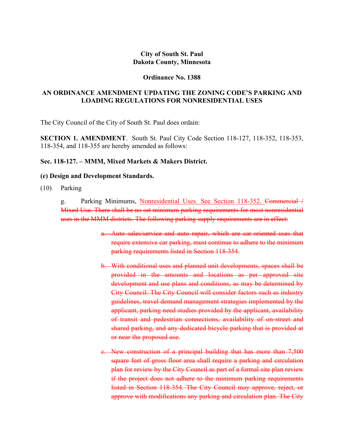# **City of South St. Paul Dakota County, Minnesota**

#### **Ordinance No. 1388**

## **AN ORDINANCE AMENDMENT UPDATING THE ZONING CODE'S PARKING AND LOADING REGULATIONS FOR NONRESIDENTIAL USES**

The City Council of the City of South St. Paul does ordain:

**SECTION 1. AMENDMENT**. South St. Paul City Code Section 118-127, 118-352, 118-353, 118-354, and 118-355 are hereby amended as follows:

## **Sec. 118-127. – MMM, Mixed Markets & Makers District.**

### **(e) Design and Development Standards.**

(10) Parking

g. Parking Minimums, Nonresidential Uses. See Section 118-352. Commercial / Mixed Use. There shall be no set minimum parking requirements for most nonresidential uses in the MMM districts. The following parking supply requirements are in effect:

- a. Auto sales/service and auto repair, which are car-oriented uses that require extensive car parking, must continue to adhere to the minimum parking requirements listed in Section 118-354.
- b. With conditional uses and planned unit developments, spaces shall be provided in the amounts and locations as per approved site development and use plans and conditions, as may be determined by City Council. The City Council will consider factors such as industry guidelines, travel demand management strategies implemented by the applicant, parking need studies provided by the applicant, availability of transit and pedestrian connections, availability of on-street and shared parking, and any dedicated bicycle parking that is provided at or near the proposed use.
- c. New construction of a principal building that has more than 7,500 square feet of gross floor area shall require a parking and circulation plan for review by the City Council as part of a formal site plan review if the project does not adhere to the minimum parking requirements listed in Section 118-354. The City Council may approve, reject, or approve with modifications any parking and circulation plan. The City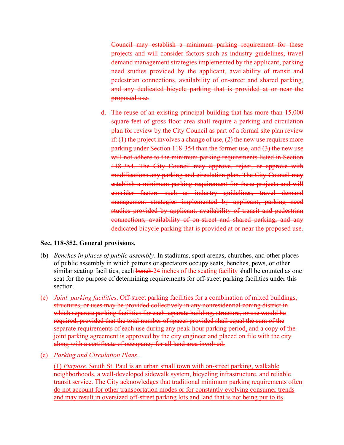Council may establish a minimum parking requirement for these projects and will consider factors such as industry guidelines, travel demand management strategies implemented by the applicant, parking need studies provided by the applicant, availability of transit and pedestrian connections, availability of on-street and shared parking, and any dedicated bicycle parking that is provided at or near the proposed use.

d. The reuse of an existing principal building that has more than 15,000 square feet of gross floor area shall require a parking and circulation plan for review by the City Council as part of a formal site plan review if:  $(1)$  the project involves a change of use,  $(2)$  the new use requires more parking under Section 118-354 than the former use, and (3) the new use will not adhere to the minimum parking requirements listed in Section 118-354. The City Council may approve, reject, or approve with modifications any parking and circulation plan. The City Council may establish a minimum parking requirement for these projects and will consider factors such as industry guidelines, travel demand management strategies implemented by applicant, parking need studies provided by applicant, availability of transit and pedestrian connections, availability of on-street and shared parking, and any dedicated bicycle parking that is provided at or near the proposed use.

### **Sec. 118-352. General provisions.**

- (b) *Benches in places of public assembly*. In stadiums, sport arenas, churches, and other places of public assembly in which patrons or spectators occupy seats, benches, pews, or other similar seating facilities, each bench 24 inches of the seating facility shall be counted as one seat for the purpose of determining requirements for off-street parking facilities under this section.
- (e) *Joint parking facilities*. Off-street parking facilities for a combination of mixed buildings, structures, or uses may be provided collectively in any nonresidential zoning district in which separate parking facilities for each separate building, structure, or use would be required, provided that the total number of spaces provided shall equal the sum of the separate requirements of each use during any peak-hour parking period. and a copy of the joint parking agreement is approved by the city engineer and placed on file with the city along with a certificate of occupancy for all land area involved.
- (e) *Parking and Circulation Plans.*

(1) *Purpose.* South St. Paul is an urban small town with on-street parking, walkable neighborhoods, a well-developed sidewalk system, bicycling infrastructure, and reliable transit service. The City acknowledges that traditional minimum parking requirements often do not account for other transportation modes or for constantly evolving consumer trends and may result in oversized off-street parking lots and land that is not being put to its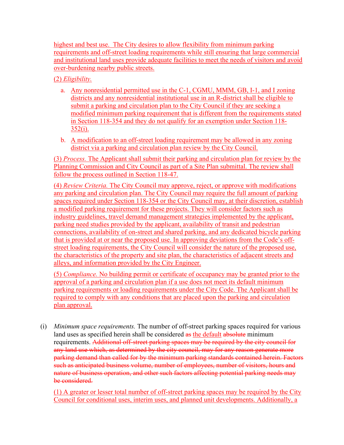highest and best use. The City desires to allow flexibility from minimum parking requirements and off-street loading requirements while still ensuring that large commercial and institutional land uses provide adequate facilities to meet the needs of visitors and avoid over-burdening nearby public streets.

# (2) *Eligibility.*

- a. Any nonresidential permitted use in the C-1, CGMU, MMM, GB, I-1, and I zoning districts and any nonresidential institutional use in an R-district shall be eligible to submit a parking and circulation plan to the City Council if they are seeking a modified minimum parking requirement that is different from the requirements stated in Section 118-354 and they do not qualify for an exemption under Section 118-  $352(i)$ .
- b. A modification to an off-street loading requirement may be allowed in any zoning district via a parking and circulation plan review by the City Council.

(3) *Process.* The Applicant shall submit their parking and circulation plan for review by the Planning Commission and City Council as part of a Site Plan submittal. The review shall follow the process outlined in Section 118-47.

(4) *Review Criteria.* The City Council may approve, reject, or approve with modifications any parking and circulation plan. The City Council may require the full amount of parking spaces required under Section 118-354 or the City Council may, at their discretion, establish a modified parking requirement for these projects. They will consider factors such as industry guidelines, travel demand management strategies implemented by the applicant, parking need studies provided by the applicant, availability of transit and pedestrian connections, availability of on-street and shared parking, and any dedicated bicycle parking that is provided at or near the proposed use. In approving deviations from the Code's offstreet loading requirements, the City Council will consider the nature of the proposed use, the characteristics of the property and site plan, the characteristics of adjacent streets and alleys, and information provided by the City Engineer.

(5) *Compliance.* No building permit or certificate of occupancy may be granted prior to the approval of a parking and circulation plan if a use does not meet its default minimum parking requirements or loading requirements under the City Code. The Applicant shall be required to comply with any conditions that are placed upon the parking and circulation plan approval.

(i) *Minimum space requirements.* The number of off-street parking spaces required for various land uses as specified herein shall be considered as the default absolute minimum requirements. Additional off-street parking spaces may be required by the city council for any land use which, as determined by the city council, may for any reason generate more parking demand than called for by the minimum parking standards contained herein. Factors such as anticipated business volume, number of employees, number of visitors, hours and nature of business operation, and other such factors affecting potential parking needs may be considered.

(1) A greater or lesser total number of off-street parking spaces may be required by the City Council for conditional uses, interim uses, and planned unit developments. Additionally, a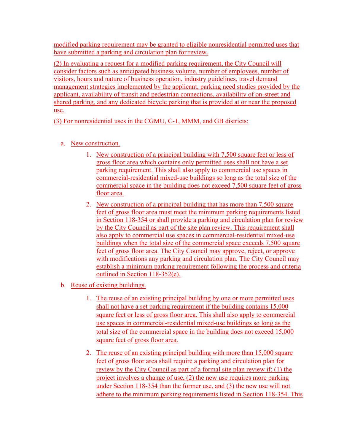modified parking requirement may be granted to eligible nonresidential permitted uses that have submitted a parking and circulation plan for review.

(2) In evaluating a request for a modified parking requirement, the City Council will consider factors such as anticipated business volume, number of employees, number of visitors, hours and nature of business operation, industry guidelines, travel demand management strategies implemented by the applicant, parking need studies provided by the applicant, availability of transit and pedestrian connections, availability of on-street and shared parking, and any dedicated bicycle parking that is provided at or near the proposed use.

(3) For nonresidential uses in the CGMU, C-1, MMM, and GB districts:

- a. New construction.
	- 1. New construction of a principal building with 7,500 square feet or less of gross floor area which contains only permitted uses shall not have a set parking requirement. This shall also apply to commercial use spaces in commercial-residential mixed-use buildings so long as the total size of the commercial space in the building does not exceed 7,500 square feet of gross floor area.
	- 2. New construction of a principal building that has more than 7,500 square feet of gross floor area must meet the minimum parking requirements listed in Section 118-354 or shall provide a parking and circulation plan for review by the City Council as part of the site plan review. This requirement shall also apply to commercial use spaces in commercial-residential mixed-use buildings when the total size of the commercial space exceeds 7,500 square feet of gross floor area. The City Council may approve, reject, or approve with modifications any parking and circulation plan. The City Council may establish a minimum parking requirement following the process and criteria outlined in Section 118-352(e).
- b. Reuse of existing buildings.
	- 1. The reuse of an existing principal building by one or more permitted uses shall not have a set parking requirement if the building contains 15,000 square feet or less of gross floor area. This shall also apply to commercial use spaces in commercial-residential mixed-use buildings so long as the total size of the commercial space in the building does not exceed 15,000 square feet of gross floor area.
	- 2. The reuse of an existing principal building with more than 15,000 square feet of gross floor area shall require a parking and circulation plan for review by the City Council as part of a formal site plan review if: (1) the project involves a change of use, (2) the new use requires more parking under Section 118-354 than the former use, and (3) the new use will not adhere to the minimum parking requirements listed in Section 118-354. This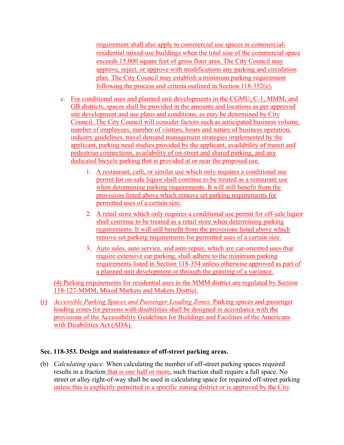requirement shall also apply to commercial use spaces in commercialresidential mixed-use buildings when the total size of the commercial space exceeds 15,000 square feet of gross floor area. The City Council may approve, reject, or approve with modifications any parking and circulation plan. The City Council may establish a minimum parking requirement following the process and criteria outlined in Section 118-352(e).

- c. For conditional uses and planned unit developments in the CGMU, C-1, MMM, and GB districts, spaces shall be provided in the amounts and locations as per approved site development and use plans and conditions, as may be determined by City Council. The City Council will consider factors such as anticipated business volume, number of employees, number of visitors, hours and nature of business operation, industry guidelines, travel demand management strategies implemented by the applicant, parking need studies provided by the applicant, availability of transit and pedestrian connections, availability of on-street and shared parking, and any dedicated bicycle parking that is provided at or near the proposed use.
	- 1. A restaurant, café, or similar use which only requires a conditional use permit for on-sale liquor shall continue to be treated as a restaurant use when determining parking requirements. It will still benefit from the provisions listed above which remove set parking requirements for permitted uses of a certain size.
	- 2. A retail store which only requires a conditional use permit for off-sale liquor shall continue to be treated as a retail store when determining parking requirements. It will still benefit from the provisions listed above which remove set parking requirements for permitted uses of a certain size.
	- 3. Auto sales, auto service, and auto repair, which are car-oriented uses that require extensive car parking, shall adhere to the minimum parking requirements listed in Section 118-354 unless otherwise approved as part of a planned unit development or through the granting of a variance.

(4) Parking requirements for residential uses in the MMM district are regulated by Section 118-127-MMM, Mixed Markets and Makers District.

(r) *Accessible Parking Spaces and Passenger Loading Zones.* Parking spaces and passenger loading zones for persons with disabilities shall be designed in accordance with the provisions of the Accessibility Guidelines for Buildings and Facilities of the Americans with Disabilities Act (ADA).

# **Sec. 118-353. Design and maintenance of off-street parking areas.**

(b) *Calculating space.* When calculating the number of off-street parking spaces required results in a fraction that is one half or more, such fraction shall require a full space. No street or alley right-of-way shall be used in calculating space for required off-street parking unless this is explicitly permitted in a specific zoning district or is approved by the City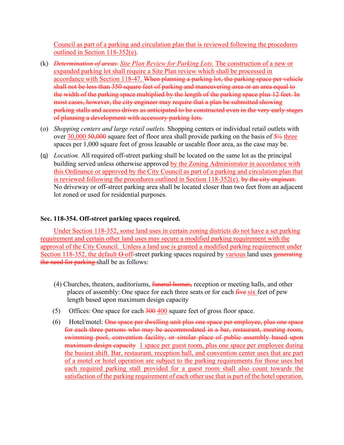Council as part of a parking and circulation plan that is reviewed following the procedures outlined in Section 118-352(e).

- (k) *Determination of areas. Site Plan Review for Parking Lots.* The construction of a new or expanded parking lot shall require a Site Plan review which shall be processed in accordance with Section 118-47. When planning a parking lot, the parking space per vehicle shall not be less than 350 square feet of parking and maneuvering area or an area equal to the width of the parking space multiplied by the length of the parking space plus 12 feet. In most cases, however, the city engineer may require that a plan be submitted showing parking stalls and access drives as anticipated to be constructed even in the very early stages of planning a development with accessory parking lots.
- (o) *Shopping centers and large retail outlets.* Shopping centers or individual retail outlets with over  $30,000$   $50,000$  square feet of floor area shall provide parking on the basis of  $5\frac{1}{2}$  three spaces per 1,000 square feet of gross leasable or useable floor area, as the case may be.
- (q) *Location.* All required off-street parking shall be located on the same lot as the principal building served unless otherwise approved by the Zoning Administrator in accordance with this Ordinance or approved by the City Council as part of a parking and circulation plan that is reviewed following the procedures outlined in Section 118-352(e). by the city engineer. No driveway or off-street parking area shall be located closer than two feet from an adjacent lot zoned or used for residential purposes.

## **Sec. 118-354. Off-street parking spaces required.**

Under Section 118-352, some land uses in certain zoning districts do not have a set parking requirement and certain other land uses may secure a modified parking requirement with the approval of the City Council. Unless a land use is granted a modified parking requirement under Section 118-352, the default  $\Theta$  off-street parking spaces required by various land uses generating the need for parking shall be as follows:

- (4) Churches, theaters, auditoriums, *funeral homes*, reception or meeting halls, and other places of assembly: One space for each three seats or for each five six feet of pew length based upon maximum design capacity
- (5) Offices: One space for each  $\frac{300}{100}$  square feet of gross floor space.
- (6) Hotel/motel: One space per dwelling unit plus one space per employee, plus one space for each three persons who may be accommodated in a bar, restaurant, meeting room, swimming pool, convention facility, or similar place of public assembly based upon maximum design capacity 1 space per guest room, plus one space per employee during the busiest shift. Bar, restaurant, reception hall, and convention center uses that are part of a motel or hotel operation are subject to the parking requirements for those uses but each required parking stall provided for a guest room shall also count towards the satisfaction of the parking requirement of each other use that is part of the hotel operation.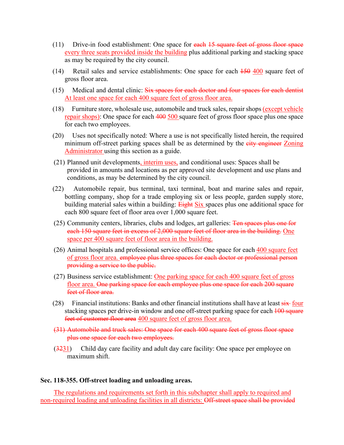- $(11)$  Drive-in food establishment: One space for each  $15$  square feet of gross floor space every three seats provided inside the building plus additional parking and stacking space as may be required by the city council.
- (14) Retail sales and service establishments: One space for each 150 400 square feet of gross floor area.
- (15) Medical and dental clinic: Six spaces for each doctor and four spaces for each dentist At least one space for each 400 square feet of gross floor area.
- (18) Furniture store, wholesale use, automobile and truck sales, repair shops (except vehicle repair shops): One space for each 400 500 square feet of gross floor space plus one space for each two employees.
- (20) Uses not specifically noted: Where a use is not specifically listed herein, the required minimum off-street parking spaces shall be as determined by the eity engineer Zoning Administrator using this section as a guide.
- (21) Planned unit developments, interim uses, and conditional uses: Spaces shall be provided in amounts and locations as per approved site development and use plans and conditions, as may be determined by the city council.
- (22) Automobile repair, bus terminal, taxi terminal, boat and marine sales and repair, bottling company, shop for a trade employing six or less people, garden supply store, building material sales within a building: **Eight Six** spaces plus one additional space for each 800 square feet of floor area over 1,000 square feet.
- (25) Community centers, libraries, clubs and lodges, art galleries: Ten spaces plus one for each 150 square feet in excess of 2,000 square feet of floor area in the building. One space per 400 square feet of floor area in the building.
- (26) Animal hospitals and professional service offices: One space for each 400 square feet of gross floor area. employee plus three spaces for each doctor or professional person providing a service to the public.
- (27) Business service establishment: One parking space for each 400 square feet of gross floor area. One parking space for each employee plus one space for each 200 square feet of floor area.
- (28) Financial institutions: Banks and other financial institutions shall have at least  $\frac{1}{\text{six}}$  four stacking spaces per drive-in window and one off-street parking space for each 100 square feet of customer floor area 400 square feet of gross floor area.
- (31) Automobile and truck sales: One space for each 400 square feet of gross floor space plus one space for each two employees.
- (3231) Child day care facility and adult day care facility: One space per employee on maximum shift.

### **Sec. 118-355. Off-street loading and unloading areas.**

The regulations and requirements set forth in this subchapter shall apply to required and non-required loading and unloading facilities in all districts: Off-street space shall be provided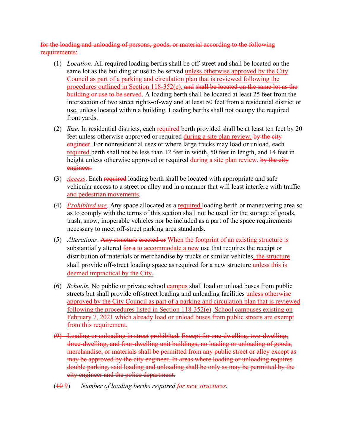for the loading and unloading of persons, goods, or material according to the following requirements:

- (1) *Location*. All required loading berths shall be off-street and shall be located on the same lot as the building or use to be served unless otherwise approved by the City Council as part of a parking and circulation plan that is reviewed following the procedures outlined in Section 118-352(e). and shall be located on the same lot as the building or use to be served. A loading berth shall be located at least 25 feet from the intersection of two street rights-of-way and at least 50 feet from a residential district or use, unless located within a building. Loading berths shall not occupy the required front yards.
- (2) *Size*. In residential districts, each required berth provided shall be at least ten feet by 20 feet unless otherwise approved or required during a site plan review. by the city engineer. For nonresidential uses or where large trucks may load or unload, each required berth shall not be less than 12 feet in width, 50 feet in length, and 14 feet in height unless otherwise approved or required during a site plan review. by the city engineer.
- (3) *Access*. Each required loading berth shall be located with appropriate and safe vehicular access to a street or alley and in a manner that will least interfere with traffic and pedestrian movements.
- (4) *Prohibited use*. Any space allocated as a required loading berth or maneuvering area so as to comply with the terms of this section shall not be used for the storage of goods, trash, snow, inoperable vehicles nor be included as a part of the space requirements necessary to meet off-street parking area standards.
- (5) *Alterations*. Any structure erected or When the footprint of an existing structure is substantially altered for a to accommodate a new use that requires the receipt or distribution of materials or merchandise by trucks or similar vehicles, the structure shall provide off-street loading space as required for a new structure unless this is deemed impractical by the City.
- (6) *Schools.* No public or private school campus shall load or unload buses from public streets but shall provide off-street loading and unloading facilities unless otherwise approved by the City Council as part of a parking and circulation plan that is reviewed following the procedures listed in Section 118-352(e). School campuses existing on February 7, 2021 which already load or unload buses from public streets are exempt from this requirement.
- (9) Loading or unloading in street prohibited. Except for one-dwelling, two-dwelling, three-dwelling, and four-dwelling unit buildings, no loading or unloading of goods, merchandise, or materials shall be permitted from any public street or alley except as may be approved by the city engineer. In areas where loading or unloading requires double parking, said loading and unloading shall be only as may be permitted by the city engineer and the police department.
- (10 9) *Number of loading berths required for new structures.*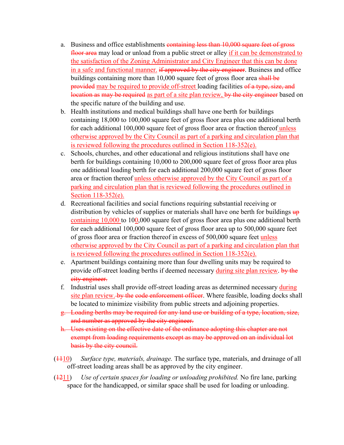- a. Business and office establishments containing less than 10,000 square feet of gross floor area may load or unload from a public street or alley if it can be demonstrated to the satisfaction of the Zoning Administrator and City Engineer that this can be done in a safe and functional manner. if approved by the city engineer. Business and office buildings containing more than 10,000 square feet of gross floor area shall be provided may be required to provide off-street loading facilities of a type, size, and location as may be required as part of a site plan review, by the city engineer based on the specific nature of the building and use.
- b. Health institutions and medical buildings shall have one berth for buildings containing 18,000 to 100,000 square feet of gross floor area plus one additional berth for each additional 100,000 square feet of gross floor area or fraction thereof unless otherwise approved by the City Council as part of a parking and circulation plan that is reviewed following the procedures outlined in Section 118-352(e).
- c. Schools, churches, and other educational and religious institutions shall have one berth for buildings containing 10,000 to 200,000 square feet of gross floor area plus one additional loading berth for each additional 200,000 square feet of gross floor area or fraction thereof unless otherwise approved by the City Council as part of a parking and circulation plan that is reviewed following the procedures outlined in Section 118-352(e).
- d. Recreational facilities and social functions requiring substantial receiving or distribution by vehicles of supplies or materials shall have one berth for buildings  $\frac{1}{2}$ containing 10,000 to 100,000 square feet of gross floor area plus one additional berth for each additional 100,000 square feet of gross floor area up to 500,000 square feet of gross floor area or fraction thereof in excess of 500,000 square feet unless otherwise approved by the City Council as part of a parking and circulation plan that is reviewed following the procedures outlined in Section 118-352(e).
- e. Apartment buildings containing more than four dwelling units may be required to provide off-street loading berths if deemed necessary during site plan review. by the city engineer.
- f. Industrial uses shall provide off-street loading areas as determined necessary during site plan review. by the code enforcement officer. Where feasible, loading docks shall be located to minimize visibility from public streets and adjoining properties.
- g. Loading berths may be required for any land use or building of a type, location, size, and number as approved by the city engineer.
- h. Uses existing on the effective date of the ordinance adopting this chapter are not exempt from loading requirements except as may be approved on an individual lot basis by the city council.
- (1110) *Surface type, materials, drainage.* The surface type, materials, and drainage of all off-street loading areas shall be as approved by the city engineer.
- (1211) *Use of certain spaces for loading or unloading prohibited.* No fire lane, parking space for the handicapped, or similar space shall be used for loading or unloading.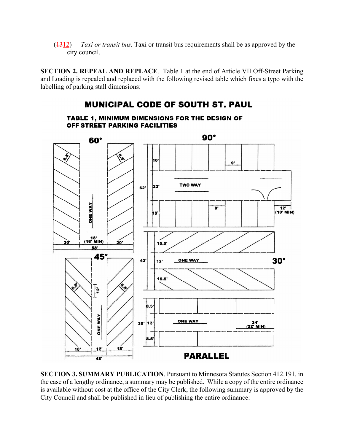(1312) *Taxi or transit bus.* Taxi or transit bus requirements shall be as approved by the city council.

**SECTION 2. REPEAL AND REPLACE**. Table 1 at the end of Article VII Off-Street Parking and Loading is repealed and replaced with the following revised table which fixes a typo with the labelling of parking stall dimensions:

# **MUNICIPAL CODE OF SOUTH ST. PAUL**

 $90^\circ$  $60^\circ$ h8'  $9'$ **TWO WAY** 22.  $62'$ **ONE WAY**  $12'$  $(10^7$  MIN) 18.  $\frac{18}{(16 \cdot \text{MIN})}$ 2Ò'  $20^{\circ}$  $15.5'$ 58 45° 30° **ONE WAY** 43  $12'$  $15.5'$  $\overline{\mathbf{r}}$ **B.5 ONE WAY** ONE WAY 24'<br>(22' MIN)  $30'$ 13 8.5  $18'$ 18 **PARALLEL**  $\overline{48}$ 

TABLE 1, MINIMUM DIMENSIONS FOR THE DESIGN OF OFF STREET PARKING FACILITIES

**SECTION 3. SUMMARY PUBLICATION**. Pursuant to Minnesota Statutes Section 412.191, in the case of a lengthy ordinance, a summary may be published. While a copy of the entire ordinance is available without cost at the office of the City Clerk, the following summary is approved by the City Council and shall be published in lieu of publishing the entire ordinance: